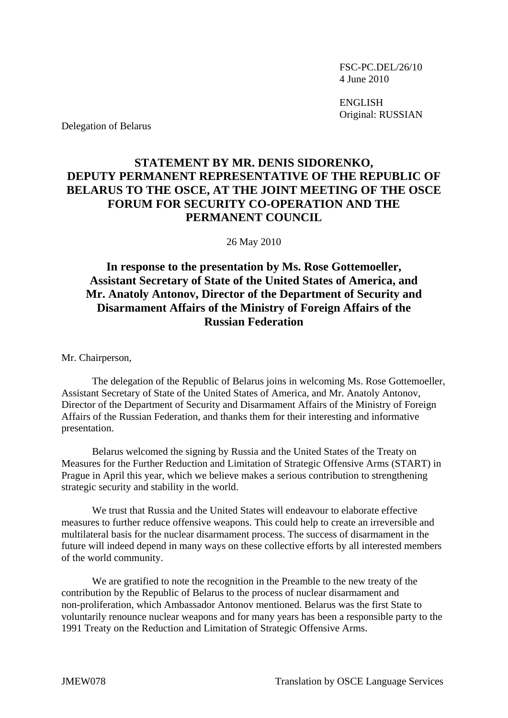FSC-PC.DEL/26/10 4 June 2010

 ENGLISH Original: RUSSIAN

Delegation of Belarus

## **STATEMENT BY MR. DENIS SIDORENKO, DEPUTY PERMANENT REPRESENTATIVE OF THE REPUBLIC OF BELARUS TO THE OSCE, AT THE JOINT MEETING OF THE OSCE FORUM FOR SECURITY CO-OPERATION AND THE PERMANENT COUNCIL**

26 May 2010

## **In response to the presentation by Ms. Rose Gottemoeller, Assistant Secretary of State of the United States of America, and Mr. Anatoly Antonov, Director of the Department of Security and Disarmament Affairs of the Ministry of Foreign Affairs of the Russian Federation**

Mr. Chairperson,

 The delegation of the Republic of Belarus joins in welcoming Ms. Rose Gottemoeller, Assistant Secretary of State of the United States of America, and Mr. Anatoly Antonov, Director of the Department of Security and Disarmament Affairs of the Ministry of Foreign Affairs of the Russian Federation, and thanks them for their interesting and informative presentation.

 Belarus welcomed the signing by Russia and the United States of the Treaty on Measures for the Further Reduction and Limitation of Strategic Offensive Arms (START) in Prague in April this year, which we believe makes a serious contribution to strengthening strategic security and stability in the world.

 We trust that Russia and the United States will endeavour to elaborate effective measures to further reduce offensive weapons. This could help to create an irreversible and multilateral basis for the nuclear disarmament process. The success of disarmament in the future will indeed depend in many ways on these collective efforts by all interested members of the world community.

 We are gratified to note the recognition in the Preamble to the new treaty of the contribution by the Republic of Belarus to the process of nuclear disarmament and non-proliferation, which Ambassador Antonov mentioned. Belarus was the first State to voluntarily renounce nuclear weapons and for many years has been a responsible party to the 1991 Treaty on the Reduction and Limitation of Strategic Offensive Arms.